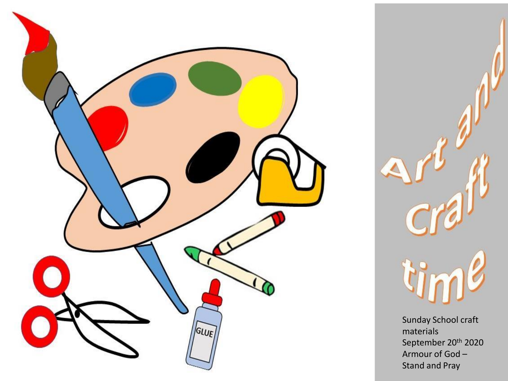



Sunday School craft materials September 20<sup>th</sup> 2020 Armour of God – Stand and Pray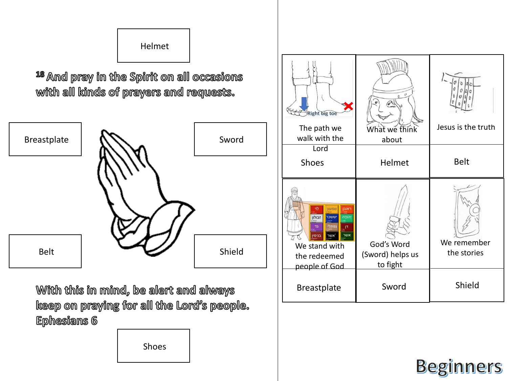## Helmet

<sup>18</sup> And pray in the Spirit on all occasions with all kinds of prayers and requests.



With this in mind, be alert and always keep on praying for all the Lord's people. **Ephesians 6** 

Shoes



## **Beginners**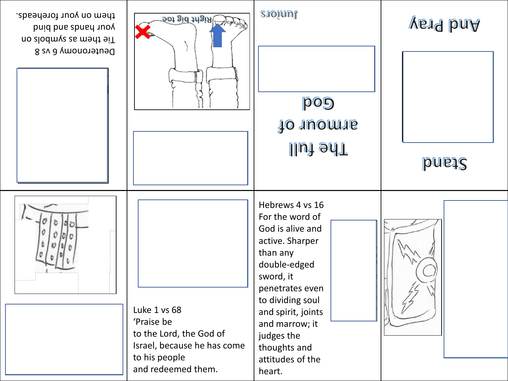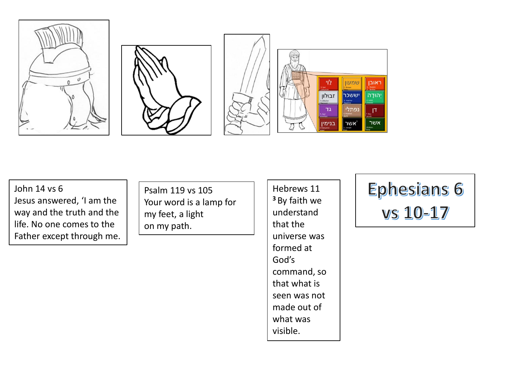

John 14 vs 6 Jesus answered, 'I am the way and the truth and the life. No one comes to the Father except through me.

Psalm 119 vs 105 Your word is a lamp for my feet, a light on my path.

Hebrews 11 **<sup>3</sup>** By faith we understand that the universe was formed at God's command, so that what is seen was not made out of what was visible.